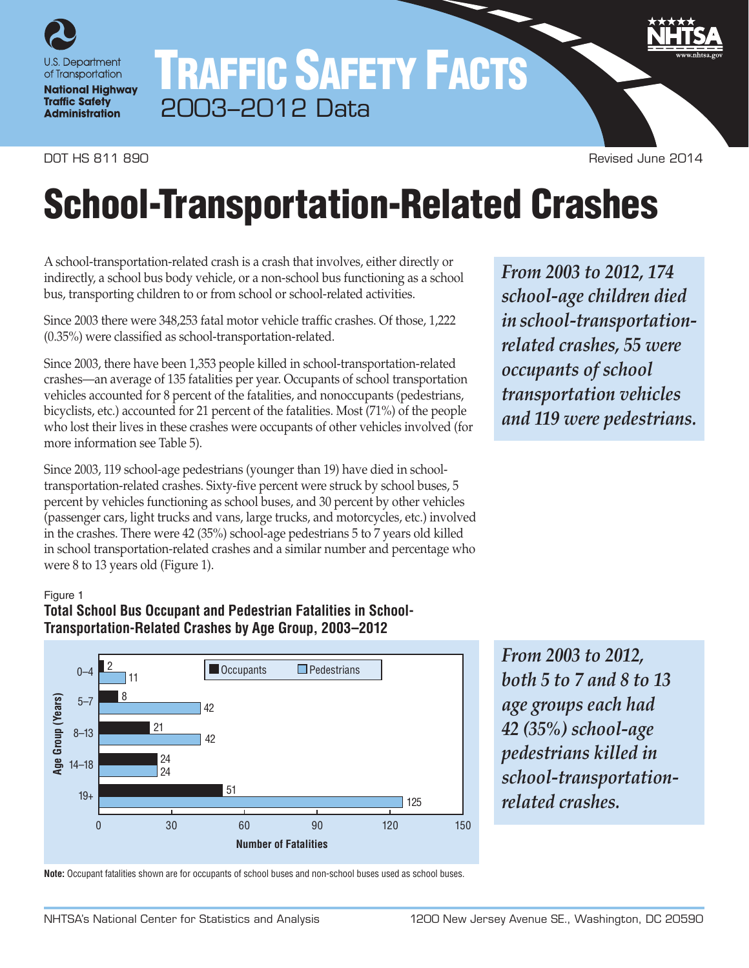

# TRAFFIC SAFETY FACTS 2003–2012 Data

DOT HS 811 890 Revised June 2014

# School-Transportation-Related Crashes

A school-transportation-related crash is a crash that involves, either directly or indirectly, a school bus body vehicle, or a non-school bus functioning as a school bus, transporting children to or from school or school-related activities.

Since 2003 there were 348,253 fatal motor vehicle traffic crashes. Of those, 1,222 (0.35%) were classified as school-transportation-related.

Since 2003, there have been 1,353 people killed in school-transportation-related crashes—an average of 135 fatalities per year. Occupants of school transportation vehicles accounted for 8 percent of the fatalities, and nonoccupants (pedestrians, bicyclists, etc.) accounted for 21 percent of the fatalities. Most (71%) of the people who lost their lives in these crashes were occupants of other vehicles involved (for more information see Table 5).

Since 2003, 119 school-age pedestrians (younger than 19) have died in schooltransportation-related crashes. Sixty-five percent were struck by school buses, 5 percent by vehicles functioning as school buses, and 30 percent by other vehicles (passenger cars, light trucks and vans, large trucks, and motorcycles, etc.) involved in the crashes. There were 42 (35%) school-age pedestrians 5 to 7 years old killed in school transportation-related crashes and a similar number and percentage who were 8 to 13 years old (Figure 1).

#### Figure 1

# **Total School Bus Occupant and Pedestrian Fatalities in School-Transportation-Related Crashes by Age Group, 2003–2012**



*From 2003 to 2012, both 5 to 7 and 8 to 13 age groups each had 42 (35%) school-age pedestrians killed in school-transportationrelated crashes.*

**Note:** Occupant fatalities shown are for occupants of school buses and non-school buses used as school buses.

*From 2003 to 2012, 174 school-age children died in school-transportationrelated crashes, 55 were occupants of school transportation vehicles and 119 were pedestrians.*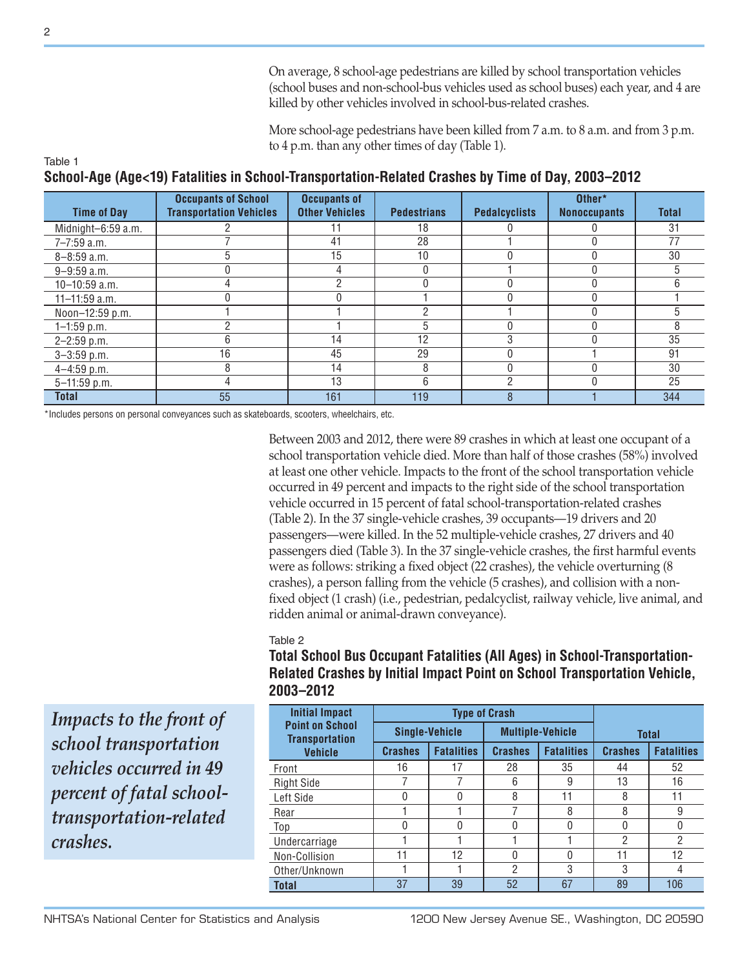On average, 8 school-age pedestrians are killed by school transportation vehicles (school buses and non-school-bus vehicles used as school buses) each year, and 4 are killed by other vehicles involved in school-bus-related crashes.

More school-age pedestrians have been killed from 7 a.m. to 8 a.m. and from 3 p.m. to 4 p.m. than any other times of day (Table 1).

#### Table 1 **School-Age (Age<19) Fatalities in School-Transportation-Related Crashes by Time of Day, 2003–2012**

| <b>Time of Day</b> | <b>Occupants of School</b><br><b>Transportation Vehicles</b> | <b>Occupants of</b><br><b>Other Vehicles</b> | <b>Pedestrians</b> | <b>Pedalcyclists</b> | Other*<br><b>Nonoccupants</b> | <b>Total</b> |
|--------------------|--------------------------------------------------------------|----------------------------------------------|--------------------|----------------------|-------------------------------|--------------|
| Midnight-6:59 a.m. |                                                              |                                              | 18                 |                      |                               | 31           |
| $7 - 7:59$ a.m.    |                                                              | 41                                           | 28                 |                      |                               | 77           |
| $8 - 8:59$ a.m.    | 5                                                            | 15                                           | 10                 |                      |                               | 30           |
| $9 - 9:59$ a.m.    |                                                              |                                              |                    |                      |                               | 5            |
| 10-10:59 a.m.      |                                                              | n                                            |                    |                      |                               | 6            |
| $11 - 11:59$ a.m.  |                                                              |                                              |                    |                      | <sup>0</sup>                  |              |
| Noon-12:59 p.m.    |                                                              |                                              |                    |                      |                               | 5            |
| $1 - 1:59$ p.m.    | C                                                            |                                              | 5                  |                      |                               | 8            |
| $2 - 2:59$ p.m.    | 6                                                            | 14                                           | 12                 | 3                    |                               | 35           |
| $3 - 3:59$ p.m.    | 16                                                           | 45                                           | 29                 |                      |                               | 91           |
| $4 - 4:59$ p.m.    | 8                                                            | 14                                           | 8                  |                      |                               | 30           |
| 5-11:59 p.m.       |                                                              | 13                                           | 6                  | ŋ                    |                               | 25           |
| <b>Total</b>       | 55                                                           | 161                                          | 119                | 8                    |                               | 344          |

\*Includes persons on personal conveyances such as skateboards, scooters, wheelchairs, etc.

Between 2003 and 2012, there were 89 crashes in which at least one occupant of a school transportation vehicle died. More than half of those crashes (58%) involved at least one other vehicle. Impacts to the front of the school transportation vehicle occurred in 49 percent and impacts to the right side of the school transportation vehicle occurred in 15 percent of fatal school-transportation-related crashes (Table 2). In the 37 single-vehicle crashes, 39 occupants—19 drivers and 20 passengers—were killed. In the 52 multiple-vehicle crashes, 27 drivers and 40 passengers died (Table 3). In the 37 single-vehicle crashes, the first harmful events were as follows: striking a fixed object (22 crashes), the vehicle overturning (8 crashes), a person falling from the vehicle (5 crashes), and collision with a nonfixed object (1 crash) (i.e., pedestrian, pedalcyclist, railway vehicle, live animal, and ridden animal or animal-drawn conveyance).

#### Table 2

**Total School Bus Occupant Fatalities (All Ages) in School-Transportation-Related Crashes by Initial Impact Point on School Transportation Vehicle, 2003–2012**

*Impacts to the front of school transportation vehicles occurred in 49 percent of fatal schooltransportation-related crashes.*

| <b>Initial Impact</b>                           |                | <b>Type of Crash</b>  |                |                         |                |                   |  |
|-------------------------------------------------|----------------|-----------------------|----------------|-------------------------|----------------|-------------------|--|
| <b>Point on School</b><br><b>Transportation</b> |                | <b>Single-Vehicle</b> |                | <b>Multiple-Vehicle</b> | <b>Total</b>   |                   |  |
| <b>Vehicle</b>                                  | <b>Crashes</b> | <b>Fatalities</b>     | <b>Crashes</b> | <b>Fatalities</b>       | <b>Crashes</b> | <b>Fatalities</b> |  |
| Front                                           | 16             | 17                    | 28             | 35                      | 44             | 52                |  |
| <b>Right Side</b>                               |                |                       | 6              | 9                       | 13             | 16                |  |
| Left Side                                       | O              |                       | 8              | 11                      | 8              | 11                |  |
| Rear                                            |                |                       | 7              | 8                       | 8              | 9                 |  |
| Top                                             | N              | O                     | O              | U                       | N              | 0                 |  |
| Undercarriage                                   |                |                       |                |                         | 2              | $\mathcal{P}$     |  |
| Non-Collision                                   | 11             | 12                    | $\Omega$       |                         | 11             | 12                |  |
| Other/Unknown                                   |                |                       | $\mathcal{P}$  | 3                       | 3              | 4                 |  |
| <b>Total</b>                                    | 37             | 39                    | 52             | 67                      | 89             | 106               |  |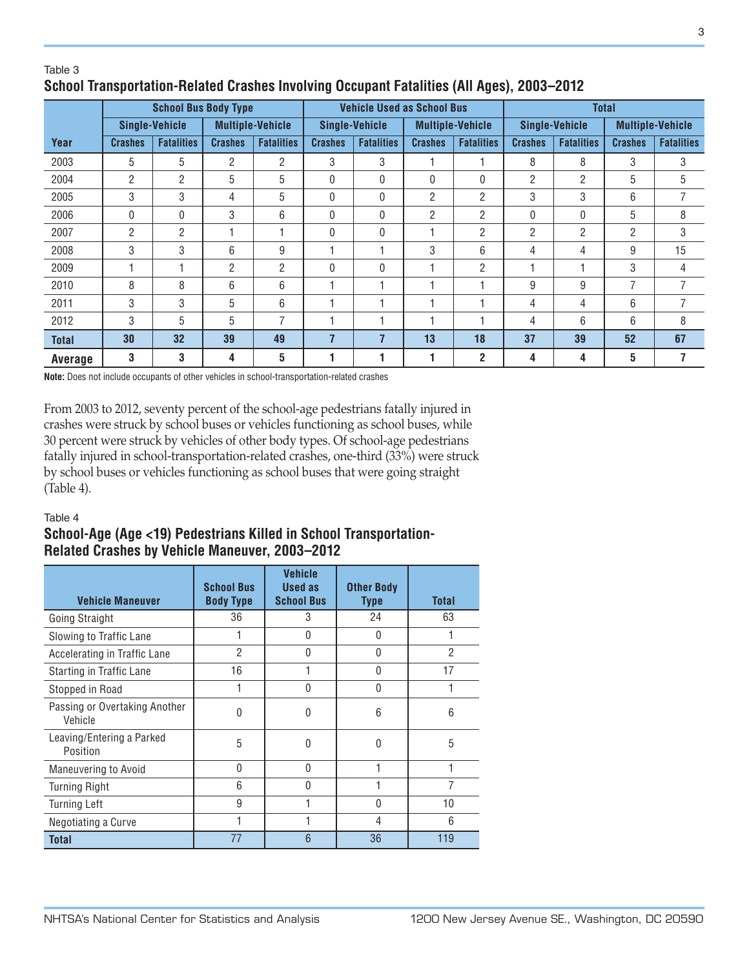## Table 3 **School Transportation-Related Crashes Involving Occupant Fatalities (All Ages), 2003–2012**

|                | <b>School Bus Body Type</b> |                       |                |                         | <b>Vehicle Used as School Bus</b> |                   |                         |                   | <b>Total</b>          |                   |                         |                   |
|----------------|-----------------------------|-----------------------|----------------|-------------------------|-----------------------------------|-------------------|-------------------------|-------------------|-----------------------|-------------------|-------------------------|-------------------|
|                |                             | <b>Single-Vehicle</b> |                | <b>Multiple-Vehicle</b> | <b>Single-Vehicle</b>             |                   | <b>Multiple-Vehicle</b> |                   | <b>Single-Vehicle</b> |                   | <b>Multiple-Vehicle</b> |                   |
| Year           | <b>Crashes</b>              | <b>Fatalities</b>     | <b>Crashes</b> | <b>Fatalities</b>       | <b>Crashes</b>                    | <b>Fatalities</b> | <b>Crashes</b>          | <b>Fatalities</b> | <b>Crashes</b>        | <b>Fatalities</b> | <b>Crashes</b>          | <b>Fatalities</b> |
| 2003           | 5                           | 5                     | 2              | $\overline{2}$          | 3                                 | 3                 |                         |                   | 8                     | 8                 | 3                       | 3                 |
| 2004           | $\overline{2}$              | 2                     | 5              | 5                       | 0                                 | $\mathbf{0}$      | 0                       | 0                 | 2                     | $\overline{2}$    | 5                       | 5                 |
| 2005           | 3                           | 3                     | 4              | 5                       | 0                                 | $\mathbf{0}$      | $\overline{2}$          | $\overline{2}$    | 3                     | 3                 | 6                       | 7                 |
| 2006           | 0                           | 0                     | 3              | 6                       | 0                                 | 0                 | 2                       | $\overline{2}$    | $\mathbf{0}$          | 0                 | 5                       | 8                 |
| 2007           | 2                           | 2                     |                |                         | $\mathbf{0}$                      | $\mathbf{0}$      |                         | $\overline{2}$    | $\overline{2}$        | 2                 | $\overline{2}$          | 3                 |
| 2008           | 3                           | 3                     | 6              | 9                       | 1                                 |                   | 3                       | 6                 | 4                     | 4                 | 9                       | 15                |
| 2009           |                             |                       | 2              | $\overline{c}$          | 0                                 | $\mathbf 0$       |                         | 2                 |                       |                   | 3                       | 4                 |
| 2010           | 8                           | 8                     | 6              | 6                       | 1                                 |                   |                         | ٠                 | 9                     | 9                 | $\overline{7}$          | 7                 |
| 2011           | 3                           | 3                     | 5              | 6                       | 1                                 |                   |                         |                   | 4                     | 4                 | 6                       | 7                 |
| 2012           | 3                           | 5                     | 5              | $\overline{7}$          |                                   |                   |                         |                   | 4                     | 6                 | 6                       | 8                 |
| <b>Total</b>   | 30                          | 32                    | 39             | 49                      | $\overline{7}$                    | 7                 | 13                      | 18                | 37                    | 39                | 52                      | 67                |
| <b>Average</b> | 3                           | 3                     | 4              | 5                       | 1                                 |                   |                         | $\overline{2}$    | 4                     | 4                 | 5                       | 7                 |

**Note:** Does not include occupants of other vehicles in school-transportation-related crashes

From 2003 to 2012, seventy percent of the school-age pedestrians fatally injured in crashes were struck by school buses or vehicles functioning as school buses, while 30 percent were struck by vehicles of other body types. Of school-age pedestrians fatally injured in school-transportation-related crashes, one-third (33%) were struck by school buses or vehicles functioning as school buses that were going straight (Table 4).

#### Table 4

# **School-Age (Age <19) Pedestrians Killed in School Transportation-Related Crashes by Vehicle Maneuver, 2003–2012**

| <b>Vehicle Maneuver</b>                  | <b>School Bus</b><br><b>Body Type</b> | <b>Vehicle</b><br>Used as<br><b>School Bus</b> | <b>Other Body</b><br><b>Type</b> | <b>Total</b> |
|------------------------------------------|---------------------------------------|------------------------------------------------|----------------------------------|--------------|
| Going Straight                           | 36                                    | 3                                              | 24                               | 63           |
| Slowing to Traffic Lane                  |                                       | 0                                              | $\Omega$                         |              |
| Accelerating in Traffic Lane             | 2                                     | U                                              | <sup>0</sup>                     | 2            |
| Starting in Traffic Lane                 | 16                                    |                                                | 0                                | 17           |
| Stopped in Road                          |                                       | 0                                              | $\Omega$                         |              |
| Passing or Overtaking Another<br>Vehicle | U                                     | 0                                              | 6                                | 6            |
| Leaving/Entering a Parked<br>Position    | 5                                     | 0                                              | $\Omega$                         | 5            |
| Maneuvering to Avoid                     | U                                     | U                                              |                                  |              |
| <b>Turning Right</b>                     | 6                                     | 0                                              |                                  | 7            |
| <b>Turning Left</b>                      | 9                                     |                                                | $\Omega$                         | 10           |
| Negotiating a Curve                      |                                       |                                                | 4                                | 6            |
| <b>Total</b>                             | 77                                    | 6                                              | 36                               | 119          |